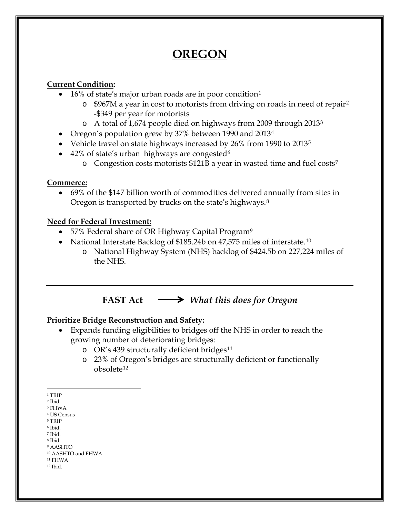# **OREGON**

### **Current Condition:**

- [1](#page-0-0)6% of state's major urban roads are in poor condition<sup>1</sup>
	- o \$967M a year in cost to motorists from driving on roads in need of repair[2](#page-0-1) -\$349 per year for motorists
	- o A total of 1,674 people died on highways from 2009 through 2013[3](#page-0-2)
- Oregon's population grew by 37% between 1990 and 2013<sup>[4](#page-0-3)</sup>
- Vehicle travel on state highways increased by 26% from 1990 to 2013<sup>[5](#page-0-4)</sup>
- 42% of state's urban highways are congested<sup>[6](#page-0-5)</sup>
	- $\circ$  Congestion costs motorists \$121B a year in wasted time and fuel costs<sup>7</sup>

#### **Commerce:**

• 69% of the \$147 billion worth of commodities delivered annually from sites in Oregon is transported by trucks on the state's highways.[8](#page-0-7)

## **Need for Federal Investment:**

- 57% Federal share of OR Highway Capital Program<sup>[9](#page-0-8)</sup>
- National Interstate Backlog of \$185.24b on 47,575 miles of interstate.<sup>[10](#page-0-9)</sup>
	- o National Highway System (NHS) backlog of \$424.5b on 227,224 miles of the NHS.

**FAST Act** *What this does for Oregon*

# **Prioritize Bridge Reconstruction and Safety:**

- Expands funding eligibilities to bridges off the NHS in order to reach the growing number of deteriorating bridges:
	- o OR's 439 structurally deficient bridges<sup>[11](#page-0-10)</sup>
	- o 23% of Oregon's bridges are structurally deficient or functionally obsolete[12](#page-0-11)

- <span id="page-0-5"></span><span id="page-0-4"></span><span id="page-0-3"></span><sup>5</sup> TRIP
- <sup>6</sup> Ibid. <sup>7</sup> Ibid.
- <span id="page-0-6"></span><sup>8</sup> Ibid.
- <span id="page-0-8"></span><span id="page-0-7"></span><sup>9</sup> AASHTO

<span id="page-0-11"></span><span id="page-0-10"></span><sup>11</sup> FHWA <sup>12</sup> Ibid.

 <sup>1</sup> TRIP

<span id="page-0-1"></span><span id="page-0-0"></span><sup>2</sup> Ibid.

<span id="page-0-2"></span><sup>3</sup> FHWA

<sup>4</sup> US Census

<span id="page-0-9"></span><sup>10</sup> AASHTO and FHWA